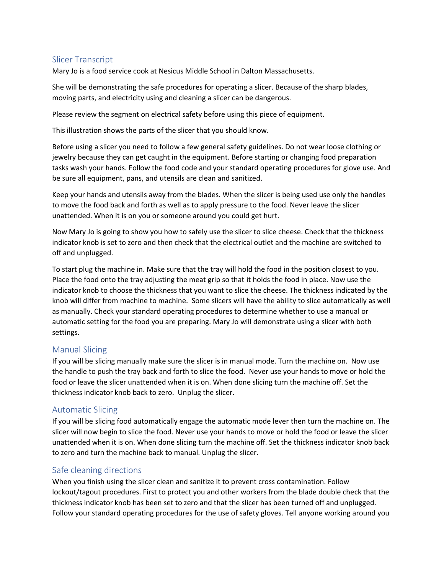## Slicer Transcript

Mary Jo is a food service cook at Nesicus Middle School in Dalton Massachusetts.

She will be demonstrating the safe procedures for operating a slicer. Because of the sharp blades, moving parts, and electricity using and cleaning a slicer can be dangerous.

Please review the segment on electrical safety before using this piece of equipment.

This illustration shows the parts of the slicer that you should know.

Before using a slicer you need to follow a few general safety guidelines. Do not wear loose clothing or jewelry because they can get caught in the equipment. Before starting or changing food preparation tasks wash your hands. Follow the food code and your standard operating procedures for glove use. And be sure all equipment, pans, and utensils are clean and sanitized.

Keep your hands and utensils away from the blades. When the slicer is being used use only the handles to move the food back and forth as well as to apply pressure to the food. Never leave the slicer unattended. When it is on you or someone around you could get hurt.

Now Mary Jo is going to show you how to safely use the slicer to slice cheese. Check that the thickness indicator knob is set to zero and then check that the electrical outlet and the machine are switched to off and unplugged.

To start plug the machine in. Make sure that the tray will hold the food in the position closest to you. Place the food onto the tray adjusting the meat grip so that it holds the food in place. Now use the indicator knob to choose the thickness that you want to slice the cheese. The thickness indicated by the knob will differ from machine to machine. Some slicers will have the ability to slice automatically as well as manually. Check your standard operating procedures to determine whether to use a manual or automatic setting for the food you are preparing. Mary Jo will demonstrate using a slicer with both settings.

## Manual Slicing

If you will be slicing manually make sure the slicer is in manual mode. Turn the machine on. Now use the handle to push the tray back and forth to slice the food. Never use your hands to move or hold the food or leave the slicer unattended when it is on. When done slicing turn the machine off. Set the thickness indicator knob back to zero. Unplug the slicer.

## Automatic Slicing

If you will be slicing food automatically engage the automatic mode lever then turn the machine on. The slicer will now begin to slice the food. Never use your hands to move or hold the food or leave the slicer unattended when it is on. When done slicing turn the machine off. Set the thickness indicator knob back to zero and turn the machine back to manual. Unplug the slicer.

## Safe cleaning directions

When you finish using the slicer clean and sanitize it to prevent cross contamination. Follow lockout/tagout procedures. First to protect you and other workers from the blade double check that the thickness indicator knob has been set to zero and that the slicer has been turned off and unplugged. Follow your standard operating procedures for the use of safety gloves. Tell anyone working around you